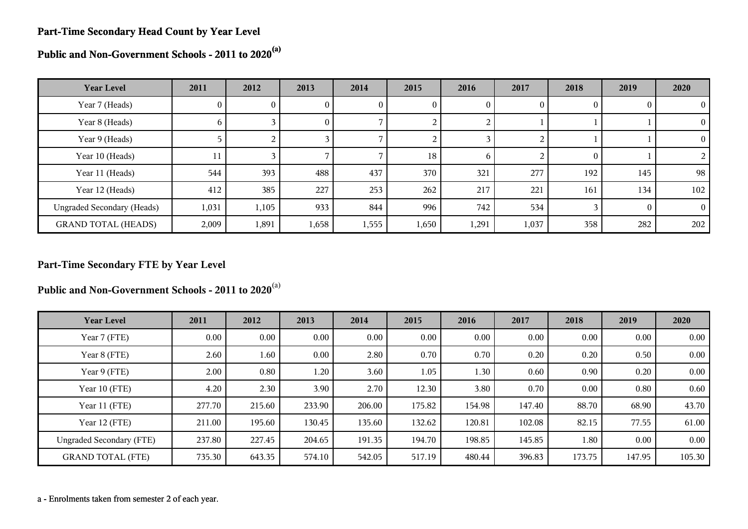#### **Part-Time Secondary Head Count by Year Level**

**Public and Non-Government Schools - 2011 to 2020(a)**

| <b>Year Level</b>                 | 2011         | 2012           | 2013     | 2014         | 2015  | 2016         | 2017     | 2018     | 2019 | 2020           |
|-----------------------------------|--------------|----------------|----------|--------------|-------|--------------|----------|----------|------|----------------|
| Year 7 (Heads)                    | $\mathbf{0}$ | U.             | U        | $\mathbf{0}$ | U     | 0            | $\theta$ |          |      | $\theta$       |
| Year 8 (Heads)                    | <sub>0</sub> |                | $\theta$ |              |       | ∠            |          |          |      | $\overline{0}$ |
| Year 9 (Heads)                    |              | $\overline{2}$ |          |              |       |              |          |          |      | $\Omega$       |
| Year 10 (Heads)                   | 11           |                |          |              | 18    | <sub>0</sub> |          | $\theta$ |      | 2              |
| Year 11 (Heads)                   | 544          | 393            | 488      | 437          | 370   | 321          | 277      | 192      | 145  | 98             |
| Year 12 (Heads)                   | 412          | 385            | 227      | 253          | 262   | 217          | 221      | 161      | 134  | 102            |
| <b>Ungraded Secondary (Heads)</b> | 1,031        | 1,105          | 933      | 844          | 996   | 742          | 534      |          |      | $\Omega$       |
| <b>GRAND TOTAL (HEADS)</b>        | 2,009        | 1,891          | 1,658    | 1,555        | 1,650 | 1,291        | 1,037    | 358      | 282  | 202            |

#### **Part-Time Secondary FTE by Year Level**

**Public and Non-Government Schools - 2011 to 2020**(a)

| <b>Year Level</b>               | 2011   | 2012     | 2013     | 2014   | 2015   | 2016   | 2017   | 2018           | 2019   | 2020   |
|---------------------------------|--------|----------|----------|--------|--------|--------|--------|----------------|--------|--------|
| Year 7 (FTE)                    | 0.00   | $0.00\,$ | 0.00     | 0.00   | 0.00   | 0.00   | 0.00   | 0.00           | 0.00   | 0.00   |
| Year 8 (FTE)                    | 2.60   | 1.60     | $0.00\,$ | 2.80   | 0.70   | 0.70   | 0.20   | 0.20           | 0.50   | 0.00   |
| Year 9 (FTE)                    | 2.00   | 0.80     | 1.20     | 3.60   | 1.05   | 1.30   | 0.60   | $0.90^{\circ}$ | 0.20   | 0.00   |
| Year 10 (FTE)                   | 4.20   | 2.30     | 3.90     | 2.70   | 12.30  | 3.80   | 0.70   | 0.00           | 0.80   | 0.60   |
| Year 11 (FTE)                   | 277.70 | 215.60   | 233.90   | 206.00 | 175.82 | 154.98 | 147.40 | 88.70          | 68.90  | 43.70  |
| Year 12 (FTE)                   | 211.00 | 195.60   | 130.45   | 135.60 | 132.62 | 120.81 | 102.08 | 82.15          | 77.55  | 61.00  |
| <b>Ungraded Secondary (FTE)</b> | 237.80 | 227.45   | 204.65   | 191.35 | 194.70 | 198.85 | 145.85 | 1.80           | 0.00   | 0.00   |
| <b>GRAND TOTAL (FTE)</b>        | 735.30 | 643.35   | 574.10   | 542.05 | 517.19 | 480.44 | 396.83 | 173.75         | 147.95 | 105.30 |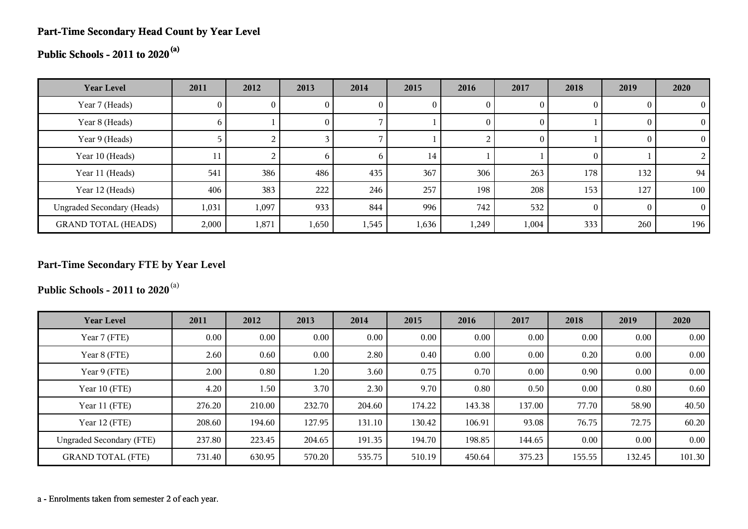#### **Part-Time Secondary Head Count by Year Level**

# **Public Schools - 2011 to 2020(a)**

| <b>Year Level</b>                 | 2011         | 2012  | 2013         | 2014         | 2015  | 2016         | 2017  | 2018     | 2019     | 2020     |
|-----------------------------------|--------------|-------|--------------|--------------|-------|--------------|-------|----------|----------|----------|
| Year 7 (Heads)                    | 0.           |       | 0            |              |       | $\mathbf{0}$ |       | $\theta$ |          | $\theta$ |
| Year 8 (Heads)                    | <sub>0</sub> |       | $\mathbf{0}$ |              |       | $\theta$     |       |          |          | 0        |
| Year 9 (Heads)                    |              |       |              |              |       |              |       |          |          | $\theta$ |
| Year 10 (Heads)                   | 11           |       | $\mathbf b$  | <sub>0</sub> | 14    |              |       | $\theta$ |          |          |
| Year 11 (Heads)                   | 541          | 386   | 486          | 435          | 367   | 306          | 263   | 178      | 132      | 94       |
| Year 12 (Heads)                   | 406          | 383   | 222          | 246          | 257   | 198          | 208   | 153      | 127      | 100      |
| <b>Ungraded Secondary (Heads)</b> | 1,031        | 1,097 | 933          | 844          | 996   | 742          | 532   | $\Omega$ | $\Omega$ | $\Omega$ |
| <b>GRAND TOTAL (HEADS)</b>        | 2,000        | 1,871 | 1,650        | 1,545        | 1,636 | 1,249        | 1,004 | 333      | 260      | 196      |

### **Part-Time Secondary FTE by Year Level**

**Public Schools - 2011 to 2020**(a)

| <b>Year Level</b>               | 2011     | 2012     | 2013     | 2014   | 2015   | 2016   | 2017   | 2018     | 2019     | 2020   |
|---------------------------------|----------|----------|----------|--------|--------|--------|--------|----------|----------|--------|
| Year 7 (FTE)                    | $0.00\,$ | $0.00\,$ | $0.00\,$ | 0.00   | 0.00   | 0.00   | 0.00   | 0.00     | 0.00     | 0.00   |
| Year 8 (FTE)                    | 2.60     | 0.60     | $0.00\,$ | 2.80   | 0.40   | 0.00   | 0.00   | 0.20     | 0.00     | 0.00   |
| Year 9 (FTE)                    | 2.00     | 0.80     | 1.20     | 3.60   | 0.75   | 0.70   | 0.00   | 0.90     | 0.00     | 0.00   |
| Year 10 (FTE)                   | 4.20     | 1.50     | 3.70     | 2.30   | 9.70   | 0.80   | 0.50   | 0.00     | 0.80     | 0.60   |
| Year 11 (FTE)                   | 276.20   | 210.00   | 232.70   | 204.60 | 174.22 | 143.38 | 137.00 | 77.70    | 58.90    | 40.50  |
| Year 12 (FTE)                   | 208.60   | 194.60   | 127.95   | 131.10 | 130.42 | 106.91 | 93.08  | 76.75    | 72.75    | 60.20  |
| <b>Ungraded Secondary (FTE)</b> | 237.80   | 223.45   | 204.65   | 191.35 | 194.70 | 198.85 | 144.65 | $0.00\,$ | $0.00\,$ | 0.00   |
| <b>GRAND TOTAL (FTE)</b>        | 731.40   | 630.95   | 570.20   | 535.75 | 510.19 | 450.64 | 375.23 | 155.55   | 132.45   | 101.30 |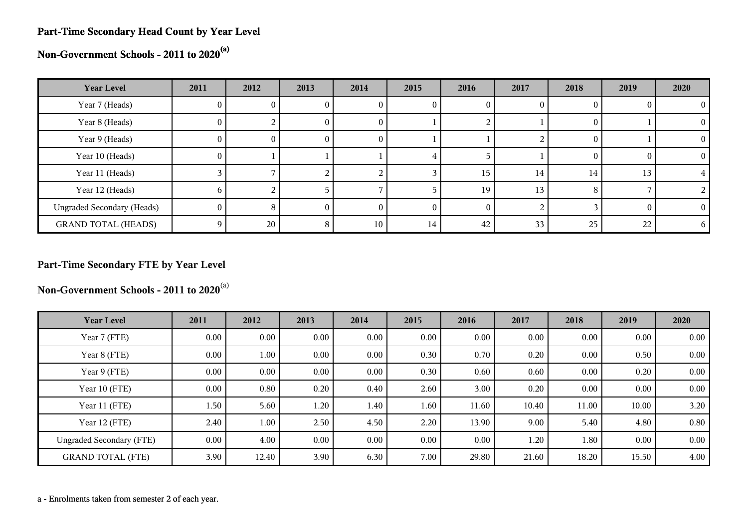#### **Part-Time Secondary Head Count by Year Level**

**Non-Government Schools - 2011 to 2020(a)**

| <b>Year Level</b>                 | 2011         | 2012 | 2013 | 2014         | 2015 | 2016 | 2017 | 2018 | 2019 | 2020     |
|-----------------------------------|--------------|------|------|--------------|------|------|------|------|------|----------|
| Year 7 (Heads)                    | U.           |      |      | U            |      |      |      |      |      |          |
| Year 8 (Heads)                    | $\mathbf{0}$ |      | U.   | $\mathbf{0}$ |      |      |      |      |      | $\Omega$ |
| Year 9 (Heads)                    | $\theta$     | U    | O.   | U            |      |      |      | U    |      | $^{(1)}$ |
| Year 10 (Heads)                   | $\theta$     |      |      |              |      |      |      |      |      | $^{(1)}$ |
| Year 11 (Heads)                   |              |      |      |              |      | 15   | 14   | 14   | 13   |          |
| Year 12 (Heads)                   | h.           |      |      |              |      | 19   | 13   | x    |      |          |
| <b>Ungraded Secondary (Heads)</b> | 0            | 8    |      | O            |      |      |      |      |      | 0        |
| <b>GRAND TOTAL (HEADS)</b>        | 0            | 20   | 8    | 10           | 14   | 42   | 33   | 25   | 22   | 6        |

### **Part-Time Secondary FTE by Year Level**

**Non-Government Schools - 2011 to 2020**(a)

| <b>Year Level</b>               | 2011     | 2012     | 2013 | 2014 | 2015 | 2016  | 2017  | 2018     | 2019  | 2020 |
|---------------------------------|----------|----------|------|------|------|-------|-------|----------|-------|------|
| Year 7 (FTE)                    | $0.00\,$ | $0.00\,$ | 0.00 | 0.00 | 0.00 | 0.00  | 0.00  | 0.00     | 0.00  | 0.00 |
| Year 8 (FTE)                    | $0.00\,$ | 1.00     | 0.00 | 0.00 | 0.30 | 0.70  | 0.20  | 0.00     | 0.50  | 0.00 |
| Year 9 (FTE)                    | $0.00\,$ | $0.00\,$ | 0.00 | 0.00 | 0.30 | 0.60  | 0.60  | $0.00\,$ | 0.20  | 0.00 |
| Year 10 (FTE)                   | $0.00\,$ | 0.80     | 0.20 | 0.40 | 2.60 | 3.00  | 0.20  | 0.00     | 0.00  | 0.00 |
| Year 11 (FTE)                   | 1.50     | 5.60     | 1.20 | 1.40 | 1.60 | 11.60 | 10.40 | 11.00    | 10.00 | 3.20 |
| Year 12 (FTE)                   | 2.40     | 1.00     | 2.50 | 4.50 | 2.20 | 13.90 | 9.00  | 5.40     | 4.80  | 0.80 |
| <b>Ungraded Secondary (FTE)</b> | $0.00\,$ | 4.00     | 0.00 | 0.00 | 0.00 | 0.00  | 1.20  | 1.80     | 0.00  | 0.00 |
| <b>GRAND TOTAL (FTE)</b>        | 3.90     | 12.40    | 3.90 | 6.30 | 7.00 | 29.80 | 21.60 | 18.20    | 15.50 | 4.00 |

a - Enrolments taken from semester 2 of each year.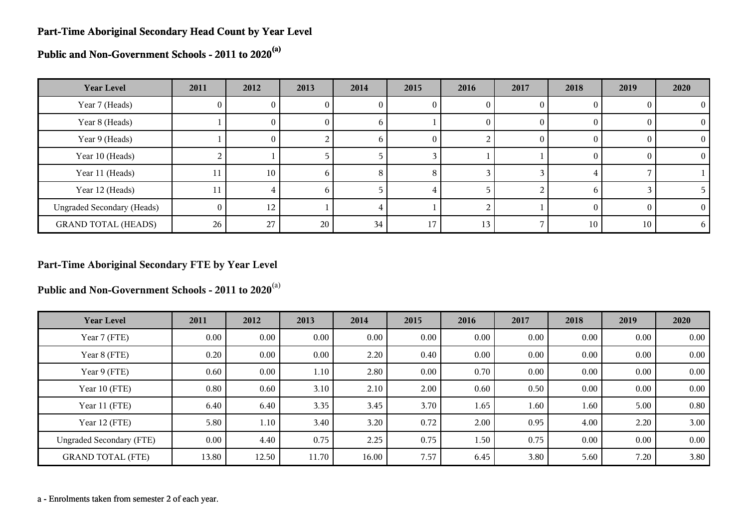#### **Part-Time Aboriginal Secondary Head Count by Year Level**

**Public and Non-Government Schools - 2011 to 2020(a)**

| <b>Year Level</b>                 | 2011           | 2012     | 2013 | 2014         | 2015     | 2016            | 2017 | 2018   | 2019 | 2020     |
|-----------------------------------|----------------|----------|------|--------------|----------|-----------------|------|--------|------|----------|
| Year 7 (Heads)                    | 0              | U.       |      | U            | U        | O               |      |        |      | $\theta$ |
| Year 8 (Heads)                    |                | U.       | O.   | <sub>0</sub> |          | O               |      | $_{0}$ |      | $\theta$ |
| Year 9 (Heads)                    |                | $\theta$ |      | <sub>0</sub> | $\theta$ |                 | 0    | $_{0}$ |      | $\Omega$ |
| Year 10 (Heads)                   |                |          |      |              |          |                 |      |        |      |          |
| Year 11 (Heads)                   | 11             | 10       | h.   | 8            | 8        |                 |      |        |      |          |
| Year 12 (Heads)                   | 11             |          | h.   |              |          |                 |      | h      |      |          |
| <b>Ungraded Secondary (Heads)</b> | $\overline{0}$ | 12       |      |              |          |                 |      |        |      | $\theta$ |
| <b>GRAND TOTAL (HEADS)</b>        | 26             | 27       | 20   | 34           | 17       | 13 <sub>1</sub> |      | 10     | 10   | 6.       |

#### **Part-Time Aboriginal Secondary FTE by Year Level**

**Public and Non-Government Schools - 2011 to 2020**(a)

| <b>Year Level</b>               | 2011  | 2012     | 2013     | 2014  | 2015 | 2016 | 2017 | 2018     | 2019     | 2020 |
|---------------------------------|-------|----------|----------|-------|------|------|------|----------|----------|------|
| Year 7 (FTE)                    | 0.00  | $0.00\,$ | $0.00\,$ | 0.00  | 0.00 | 0.00 | 0.00 | 0.00     | 0.00     | 0.00 |
| Year 8 (FTE)                    | 0.20  | $0.00\,$ | 0.00     | 2.20  | 0.40 | 0.00 | 0.00 | 0.00     | 0.00     | 0.00 |
| Year 9 (FTE)                    | 0.60  | $0.00\,$ | 1.10     | 2.80  | 0.00 | 0.70 | 0.00 | 0.00     | 0.00     | 0.00 |
| Year 10 (FTE)                   | 0.80  | 0.60     | 3.10     | 2.10  | 2.00 | 0.60 | 0.50 | $0.00\,$ | 0.00     | 0.00 |
| Year 11 (FTE)                   | 6.40  | 6.40     | 3.35     | 3.45  | 3.70 | 1.65 | 1.60 | 1.60     | 5.00     | 0.80 |
| Year 12 (FTE)                   | 5.80  | 1.10     | 3.40     | 3.20  | 0.72 | 2.00 | 0.95 | 4.00     | 2.20     | 3.00 |
| <b>Ungraded Secondary (FTE)</b> | 0.00  | 4.40     | 0.75     | 2.25  | 0.75 | 1.50 | 0.75 | $0.00\,$ | $0.00\,$ | 0.00 |
| <b>GRAND TOTAL (FTE)</b>        | 13.80 | 12.50    | 11.70    | 16.00 | 7.57 | 6.45 | 3.80 | 5.60     | 7.20     | 3.80 |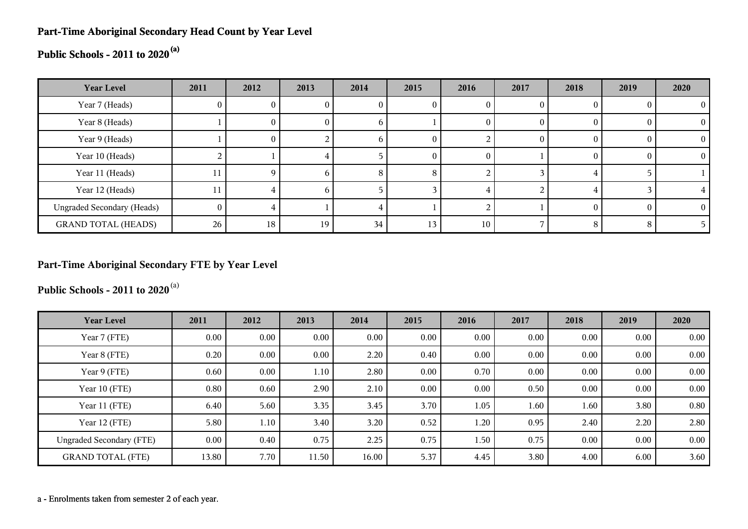#### **Part-Time Aboriginal Secondary Head Count by Year Level**

# **Public Schools - 2011 to 2020(a)**

| <b>Year Level</b>                 | 2011 | 2012 | 2013 | 2014 | 2015 | 2016     | 2017 | 2018     | 2019 | 2020 |
|-----------------------------------|------|------|------|------|------|----------|------|----------|------|------|
| Year 7 (Heads)                    |      |      |      |      |      |          |      |          |      |      |
| Year 8 (Heads)                    |      |      | U    |      |      | O        |      |          |      |      |
| Year 9 (Heads)                    |      | U    |      |      |      |          |      |          |      |      |
| Year 10 (Heads)                   |      |      |      |      |      | $\theta$ |      | $\theta$ | O    |      |
| Year 11 (Heads)                   | 11   |      | n    | ົ    | 8    |          |      |          |      |      |
| Year 12 (Heads)                   |      |      | n    |      |      |          |      |          |      |      |
| <b>Ungraded Secondary (Heads)</b> | 0.   |      |      |      |      |          |      | $\Omega$ | £    |      |
| <b>GRAND TOTAL (HEADS)</b>        | 26   | 18   | 19   | 34   | 13   | 10       |      | 8        | 8    |      |

#### **Part-Time Aboriginal Secondary FTE by Year Level**

**Public Schools - 2011 to 2020**(a)

| <b>Year Level</b>               | 2011     | 2012     | 2013     | 2014  | 2015 | 2016 | 2017 | 2018 | 2019     | 2020 |
|---------------------------------|----------|----------|----------|-------|------|------|------|------|----------|------|
| Year 7 (FTE)                    | $0.00\,$ | $0.00\,$ | $0.00\,$ | 0.00  | 0.00 | 0.00 | 0.00 | 0.00 | 0.00     | 0.00 |
| Year 8 (FTE)                    | 0.20     | $0.00\,$ | $0.00\,$ | 2.20  | 0.40 | 0.00 | 0.00 | 0.00 | 0.00     | 0.00 |
| Year 9 (FTE)                    | 0.60     | $0.00\,$ | 1.10     | 2.80  | 0.00 | 0.70 | 0.00 | 0.00 | 0.00     | 0.00 |
| Year 10 (FTE)                   | 0.80     | 0.60     | 2.90     | 2.10  | 0.00 | 0.00 | 0.50 | 0.00 | $0.00\,$ | 0.00 |
| Year 11 (FTE)                   | 6.40     | 5.60     | 3.35     | 3.45  | 3.70 | 1.05 | 1.60 | 1.60 | 3.80     | 0.80 |
| Year 12 (FTE)                   | 5.80     | 1.10     | 3.40     | 3.20  | 0.52 | 1.20 | 0.95 | 2.40 | 2.20     | 2.80 |
| <b>Ungraded Secondary (FTE)</b> | $0.00\,$ | 0.40     | 0.75     | 2.25  | 0.75 | 1.50 | 0.75 | 0.00 | 0.00     | 0.00 |
| <b>GRAND TOTAL (FTE)</b>        | 13.80    | 7.70     | 11.50    | 16.00 | 5.37 | 4.45 | 3.80 | 4.00 | 6.00     | 3.60 |

a - Enrolments taken from semester 2 of each year.